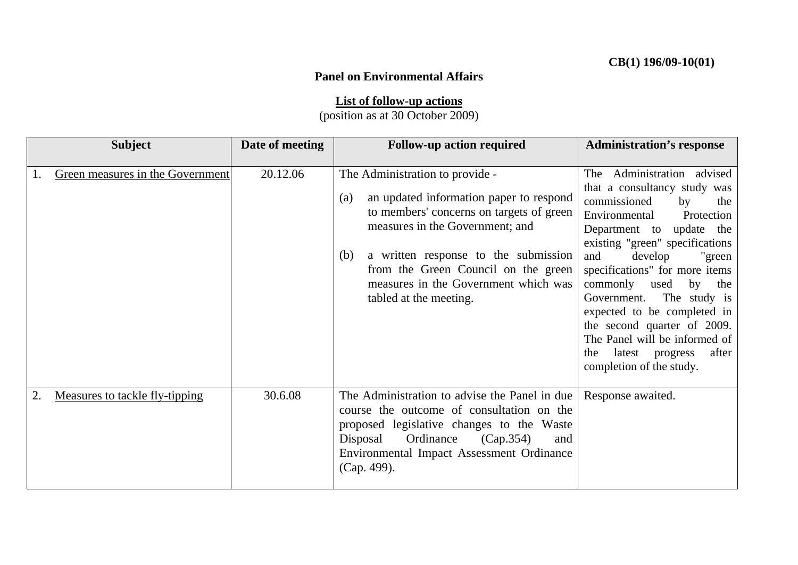## **Panel on Environmental Affairs**

**List of follow-up actions**

(position as at 30 October 2009)

| <b>Subject</b>                   | Date of meeting | <b>Follow-up action required</b>                                                                                                                                                                                                                                                                                         | <b>Administration's response</b>                                                                                                                                                                                                                                                                                                                                                                                                                                                     |
|----------------------------------|-----------------|--------------------------------------------------------------------------------------------------------------------------------------------------------------------------------------------------------------------------------------------------------------------------------------------------------------------------|--------------------------------------------------------------------------------------------------------------------------------------------------------------------------------------------------------------------------------------------------------------------------------------------------------------------------------------------------------------------------------------------------------------------------------------------------------------------------------------|
| Green measures in the Government | 20.12.06        | The Administration to provide -<br>an updated information paper to respond<br>(a)<br>to members' concerns on targets of green<br>measures in the Government; and<br>a written response to the submission<br>(b)<br>from the Green Council on the green<br>measures in the Government which was<br>tabled at the meeting. | Administration advised<br>The<br>that a consultancy study was<br>commissioned<br>by<br>the<br>Environmental<br>Protection<br>update the<br>Department to<br>existing "green" specifications<br>and<br>develop<br>"green<br>specifications" for more items<br>commonly used<br>by<br>the<br>The study is<br>Government.<br>expected to be completed in<br>the second quarter of 2009.<br>The Panel will be informed of<br>latest progress<br>after<br>the<br>completion of the study. |
| Measures to tackle fly-tipping   | 30.6.08         | The Administration to advise the Panel in due<br>course the outcome of consultation on the<br>proposed legislative changes to the Waste<br>Ordinance<br>Disposal<br>(Cap.354)<br>and<br>Environmental Impact Assessment Ordinance<br>(Cap. 499).                                                                         | Response awaited.                                                                                                                                                                                                                                                                                                                                                                                                                                                                    |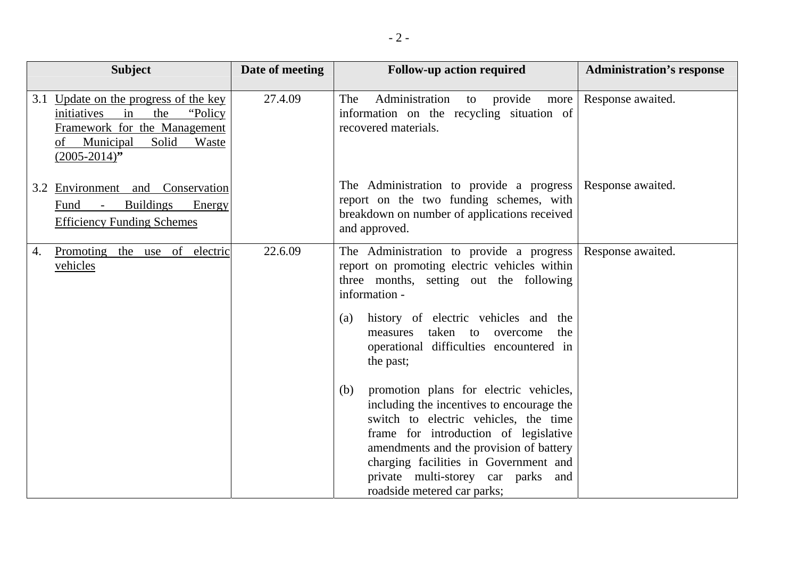| <b>Subject</b>                                                                                                                                                       | Date of meeting | <b>Follow-up action required</b>                                                                                                                                                                                                                                                                                                                                                                                                                                                                                                                                                                                                                | <b>Administration's response</b> |
|----------------------------------------------------------------------------------------------------------------------------------------------------------------------|-----------------|-------------------------------------------------------------------------------------------------------------------------------------------------------------------------------------------------------------------------------------------------------------------------------------------------------------------------------------------------------------------------------------------------------------------------------------------------------------------------------------------------------------------------------------------------------------------------------------------------------------------------------------------------|----------------------------------|
| 3.1 Update on the progress of the key<br>"Policy"<br>initiatives<br>in<br>the<br>Framework for the Management<br>of Municipal<br>Solid<br>Waste<br>$(2005 - 2014)$ " | 27.4.09         | The<br>Administration<br>provide<br>to<br>more<br>information on the recycling situation of<br>recovered materials.                                                                                                                                                                                                                                                                                                                                                                                                                                                                                                                             | Response awaited.                |
| 3.2 Environment and Conservation<br><b>Buildings</b><br>Energy<br>Fund<br>$\sim 10^{-11}$<br><b>Efficiency Funding Schemes</b>                                       |                 | The Administration to provide a progress<br>report on the two funding schemes, with<br>breakdown on number of applications received<br>and approved.                                                                                                                                                                                                                                                                                                                                                                                                                                                                                            | Response awaited.                |
| Promoting the use of electric<br>4.<br>vehicles                                                                                                                      | 22.6.09         | The Administration to provide a progress<br>report on promoting electric vehicles within<br>three months, setting out the following<br>information -<br>history of electric vehicles and the<br>(a)<br>taken to<br>the<br>measures<br>overcome<br>operational difficulties encountered in<br>the past;<br>promotion plans for electric vehicles,<br>(b)<br>including the incentives to encourage the<br>switch to electric vehicles, the time<br>frame for introduction of legislative<br>amendments and the provision of battery<br>charging facilities in Government and<br>private multi-storey car parks and<br>roadside metered car parks; | Response awaited.                |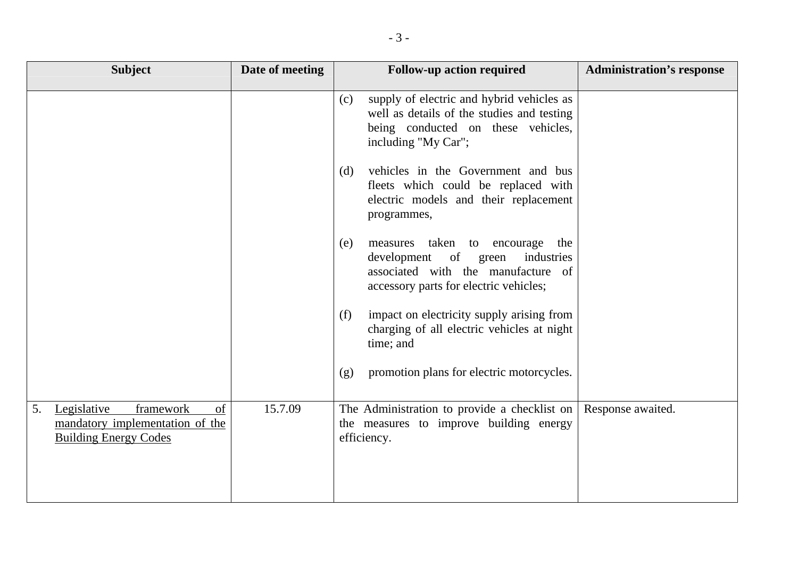| <b>Subject</b>                                                                                          | Date of meeting | <b>Follow-up action required</b>                                                                                                                                | <b>Administration's response</b> |
|---------------------------------------------------------------------------------------------------------|-----------------|-----------------------------------------------------------------------------------------------------------------------------------------------------------------|----------------------------------|
|                                                                                                         |                 | supply of electric and hybrid vehicles as<br>(c)<br>well as details of the studies and testing<br>being conducted on these vehicles,<br>including "My Car";     |                                  |
|                                                                                                         |                 | vehicles in the Government and bus<br>(d)<br>fleets which could be replaced with<br>electric models and their replacement<br>programmes,                        |                                  |
|                                                                                                         |                 | measures taken to encourage<br>the<br>(e)<br>development of green<br>industries<br>associated with the manufacture of<br>accessory parts for electric vehicles; |                                  |
|                                                                                                         |                 | impact on electricity supply arising from<br>(f)<br>charging of all electric vehicles at night<br>time; and                                                     |                                  |
|                                                                                                         |                 | promotion plans for electric motorcycles.<br>(g)                                                                                                                |                                  |
| Legislative<br>framework<br>of<br>5.<br>mandatory implementation of the<br><b>Building Energy Codes</b> | 15.7.09         | The Administration to provide a checklist on<br>the measures to improve building energy<br>efficiency.                                                          | Response awaited.                |